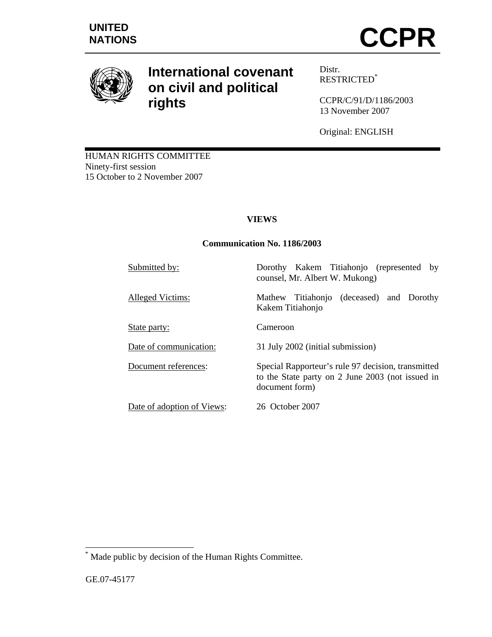

# **International covenant on civil and political rights**

Distr. RESTRICTED\*

CCPR/C/91/D/1186/2003 13 November 2007

Original: ENGLISH

HUMAN RIGHTS COMMITTEE Ninety-first session 15 October to 2 November 2007

# **VIEWS**

# **Communication No. 1186/2003**

| Submitted by:              | Dorothy Kakem Titiahonjo (represented by<br>counsel, Mr. Albert W. Mukong)                                               |
|----------------------------|--------------------------------------------------------------------------------------------------------------------------|
| Alleged Victims:           | Mathew Titiahonjo (deceased) and Dorothy<br>Kakem Titiahonjo                                                             |
| State party:               | Cameroon                                                                                                                 |
| Date of communication:     | 31 July 2002 (initial submission)                                                                                        |
| Document references:       | Special Rapporteur's rule 97 decision, transmitted<br>to the State party on 2 June 2003 (not issued in<br>document form) |
| Date of adoption of Views: | 26 October 2007                                                                                                          |

 \* Made public by decision of the Human Rights Committee.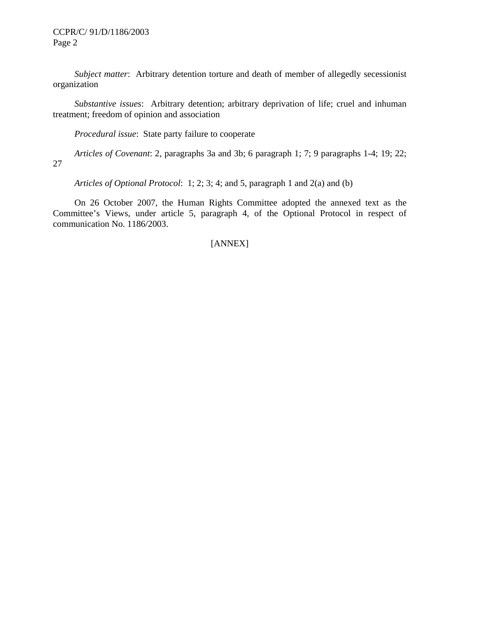CCPR/C/ 91/D/1186/2003 Page 2

27

 *Subject matter*: Arbitrary detention torture and death of member of allegedly secessionist organization

 *Substantive issues*: Arbitrary detention; arbitrary deprivation of life; cruel and inhuman treatment; freedom of opinion and association

 *Procedural issue*: State party failure to cooperate

 *Articles of Covenant*: 2, paragraphs 3a and 3b; 6 paragraph 1; 7; 9 paragraphs 1-4; 19; 22;

 *Articles of Optional Protocol*: 1; 2; 3; 4; and 5, paragraph 1 and 2(a) and (b)

 On 26 October 2007, the Human Rights Committee adopted the annexed text as the Committee's Views, under article 5, paragraph 4, of the Optional Protocol in respect of communication No. 1186/2003.

# [ANNEX]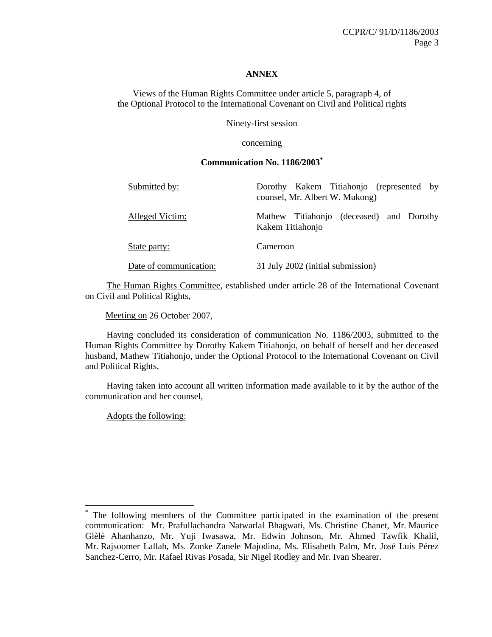#### **ANNEX**

Views of the Human Rights Committee under article 5, paragraph 4, of the Optional Protocol to the International Covenant on Civil and Political rights

Ninety-first session

concerning

#### **Communication No. 1186/2003\***

| Submitted by:          | Dorothy Kakem Titiahonjo (represented by<br>counsel, Mr. Albert W. Mukong) |
|------------------------|----------------------------------------------------------------------------|
| Alleged Victim:        | Mathew Titiahonjo (deceased) and Dorothy<br>Kakem Titiahonjo               |
| State party:           | Cameroon                                                                   |
| Date of communication: | 31 July 2002 (initial submission)                                          |

 The Human Rights Committee, established under article 28 of the International Covenant on Civil and Political Rights,

Meeting on 26 October 2007,

 Having concluded its consideration of communication No. 1186/2003, submitted to the Human Rights Committee by Dorothy Kakem Titiahonjo, on behalf of herself and her deceased husband, Mathew Titiahonjo, under the Optional Protocol to the International Covenant on Civil and Political Rights,

 Having taken into account all written information made available to it by the author of the communication and her counsel,

Adopts the following:

 $\overline{a}$ 

<sup>\*</sup> The following members of the Committee participated in the examination of the present communication: Mr. Prafullachandra Natwarlal Bhagwati, Ms. Christine Chanet, Mr. Maurice Glèlè Ahanhanzo, Mr. Yuji Iwasawa, Mr. Edwin Johnson, Mr. Ahmed Tawfik Khalil, Mr. Rajsoomer Lallah, Ms. Zonke Zanele Majodina, Ms. Elisabeth Palm, Mr. José Luis Pérez Sanchez-Cerro, Mr. Rafael Rivas Posada, Sir Nigel Rodley and Mr. Ivan Shearer.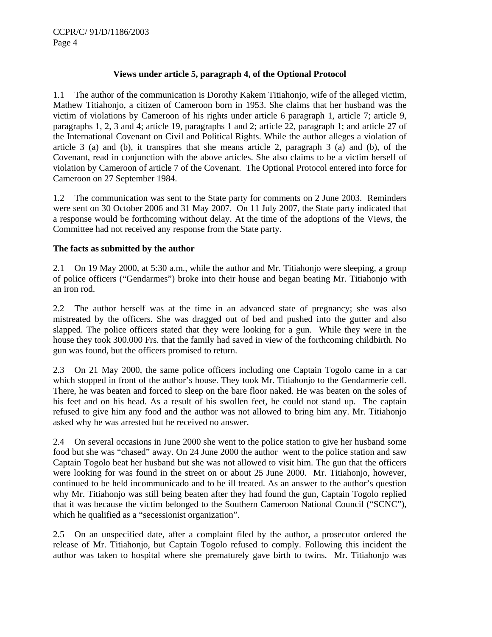# **Views under article 5, paragraph 4, of the Optional Protocol**

1.1 The author of the communication is Dorothy Kakem Titiahonjo, wife of the alleged victim, Mathew Titiahonjo, a citizen of Cameroon born in 1953. She claims that her husband was the victim of violations by Cameroon of his rights under article 6 paragraph 1, article 7; article 9, paragraphs 1, 2, 3 and 4; article 19, paragraphs 1 and 2; article 22, paragraph 1; and article 27 of the International Covenant on Civil and Political Rights. While the author alleges a violation of article 3 (a) and (b), it transpires that she means article 2, paragraph 3 (a) and (b), of the Covenant, read in conjunction with the above articles. She also claims to be a victim herself of violation by Cameroon of article 7 of the Covenant. The Optional Protocol entered into force for Cameroon on 27 September 1984.

1.2 The communication was sent to the State party for comments on 2 June 2003. Reminders were sent on 30 October 2006 and 31 May 2007. On 11 July 2007, the State party indicated that a response would be forthcoming without delay. At the time of the adoptions of the Views, the Committee had not received any response from the State party.

# **The facts as submitted by the author**

2.1 On 19 May 2000, at 5:30 a.m., while the author and Mr. Titiahonjo were sleeping, a group of police officers ("Gendarmes") broke into their house and began beating Mr. Titiahonjo with an iron rod.

2.2 The author herself was at the time in an advanced state of pregnancy; she was also mistreated by the officers. She was dragged out of bed and pushed into the gutter and also slapped. The police officers stated that they were looking for a gun. While they were in the house they took 300.000 Frs. that the family had saved in view of the forthcoming childbirth. No gun was found, but the officers promised to return.

2.3 On 21 May 2000, the same police officers including one Captain Togolo came in a car which stopped in front of the author's house. They took Mr. Titiahonjo to the Gendarmerie cell. There, he was beaten and forced to sleep on the bare floor naked. He was beaten on the soles of his feet and on his head. As a result of his swollen feet, he could not stand up. The captain refused to give him any food and the author was not allowed to bring him any. Mr. Titiahonjo asked why he was arrested but he received no answer.

2.4 On several occasions in June 2000 she went to the police station to give her husband some food but she was "chased" away. On 24 June 2000 the author went to the police station and saw Captain Togolo beat her husband but she was not allowed to visit him. The gun that the officers were looking for was found in the street on or about 25 June 2000. Mr. Titiahonjo, however, continued to be held incommunicado and to be ill treated. As an answer to the author's question why Mr. Titiahonjo was still being beaten after they had found the gun, Captain Togolo replied that it was because the victim belonged to the Southern Cameroon National Council ("SCNC"), which he qualified as a "secessionist organization".

2.5 On an unspecified date, after a complaint filed by the author, a prosecutor ordered the release of Mr. Titiahonjo, but Captain Togolo refused to comply. Following this incident the author was taken to hospital where she prematurely gave birth to twins. Mr. Titiahonjo was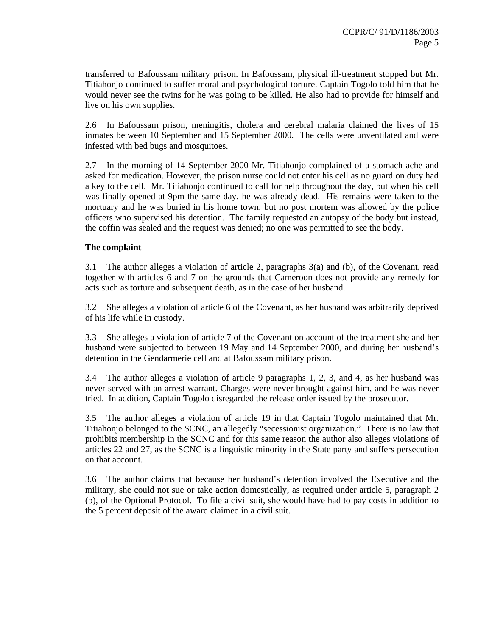transferred to Bafoussam military prison. In Bafoussam, physical ill-treatment stopped but Mr. Titiahonjo continued to suffer moral and psychological torture. Captain Togolo told him that he would never see the twins for he was going to be killed. He also had to provide for himself and live on his own supplies.

2.6 In Bafoussam prison, meningitis, cholera and cerebral malaria claimed the lives of 15 inmates between 10 September and 15 September 2000. The cells were unventilated and were infested with bed bugs and mosquitoes.

2.7 In the morning of 14 September 2000 Mr. Titiahonjo complained of a stomach ache and asked for medication. However, the prison nurse could not enter his cell as no guard on duty had a key to the cell. Mr. Titiahonjo continued to call for help throughout the day, but when his cell was finally opened at 9pm the same day, he was already dead. His remains were taken to the mortuary and he was buried in his home town, but no post mortem was allowed by the police officers who supervised his detention. The family requested an autopsy of the body but instead, the coffin was sealed and the request was denied; no one was permitted to see the body.

# **The complaint**

3.1 The author alleges a violation of article 2, paragraphs 3(a) and (b), of the Covenant, read together with articles 6 and 7 on the grounds that Cameroon does not provide any remedy for acts such as torture and subsequent death, as in the case of her husband.

3.2 She alleges a violation of article 6 of the Covenant, as her husband was arbitrarily deprived of his life while in custody.

3.3 She alleges a violation of article 7 of the Covenant on account of the treatment she and her husband were subjected to between 19 May and 14 September 2000, and during her husband's detention in the Gendarmerie cell and at Bafoussam military prison.

3.4 The author alleges a violation of article 9 paragraphs 1, 2, 3, and 4, as her husband was never served with an arrest warrant. Charges were never brought against him, and he was never tried. In addition, Captain Togolo disregarded the release order issued by the prosecutor.

3.5 The author alleges a violation of article 19 in that Captain Togolo maintained that Mr. Titiahonjo belonged to the SCNC, an allegedly "secessionist organization." There is no law that prohibits membership in the SCNC and for this same reason the author also alleges violations of articles 22 and 27, as the SCNC is a linguistic minority in the State party and suffers persecution on that account.

3.6 The author claims that because her husband's detention involved the Executive and the military, she could not sue or take action domestically, as required under article 5, paragraph 2 (b), of the Optional Protocol. To file a civil suit, she would have had to pay costs in addition to the 5 percent deposit of the award claimed in a civil suit.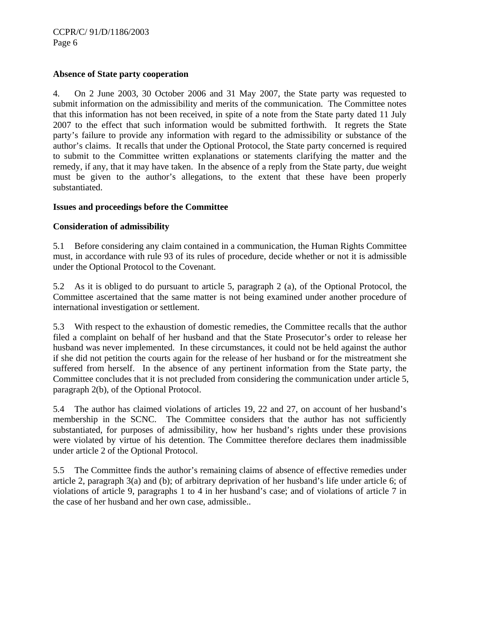### **Absence of State party cooperation**

4. On 2 June 2003, 30 October 2006 and 31 May 2007, the State party was requested to submit information on the admissibility and merits of the communication. The Committee notes that this information has not been received, in spite of a note from the State party dated 11 July 2007 to the effect that such information would be submitted forthwith. It regrets the State party's failure to provide any information with regard to the admissibility or substance of the author's claims. It recalls that under the Optional Protocol, the State party concerned is required to submit to the Committee written explanations or statements clarifying the matter and the remedy, if any, that it may have taken. In the absence of a reply from the State party, due weight must be given to the author's allegations, to the extent that these have been properly substantiated.

#### **Issues and proceedings before the Committee**

#### **Consideration of admissibility**

5.1 Before considering any claim contained in a communication, the Human Rights Committee must, in accordance with rule 93 of its rules of procedure, decide whether or not it is admissible under the Optional Protocol to the Covenant.

5.2 As it is obliged to do pursuant to article 5, paragraph 2 (a), of the Optional Protocol, the Committee ascertained that the same matter is not being examined under another procedure of international investigation or settlement.

5.3 With respect to the exhaustion of domestic remedies, the Committee recalls that the author filed a complaint on behalf of her husband and that the State Prosecutor's order to release her husband was never implemented. In these circumstances, it could not be held against the author if she did not petition the courts again for the release of her husband or for the mistreatment she suffered from herself. In the absence of any pertinent information from the State party, the Committee concludes that it is not precluded from considering the communication under article 5, paragraph 2(b), of the Optional Protocol.

5.4 The author has claimed violations of articles 19, 22 and 27, on account of her husband's membership in the SCNC. The Committee considers that the author has not sufficiently substantiated, for purposes of admissibility, how her husband's rights under these provisions were violated by virtue of his detention. The Committee therefore declares them inadmissible under article 2 of the Optional Protocol.

5.5 The Committee finds the author's remaining claims of absence of effective remedies under article 2, paragraph 3(a) and (b); of arbitrary deprivation of her husband's life under article 6; of violations of article 9, paragraphs 1 to 4 in her husband's case; and of violations of article 7 in the case of her husband and her own case, admissible..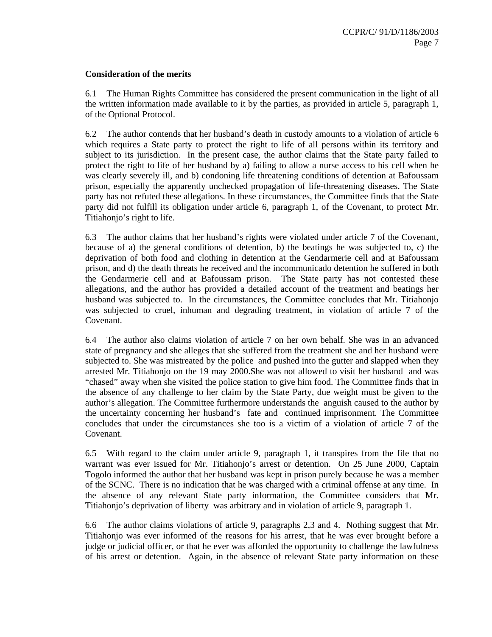#### **Consideration of the merits**

6.1 The Human Rights Committee has considered the present communication in the light of all the written information made available to it by the parties, as provided in article 5, paragraph 1, of the Optional Protocol.

6.2 The author contends that her husband's death in custody amounts to a violation of article 6 which requires a State party to protect the right to life of all persons within its territory and subject to its jurisdiction. In the present case, the author claims that the State party failed to protect the right to life of her husband by a) failing to allow a nurse access to his cell when he was clearly severely ill, and b) condoning life threatening conditions of detention at Bafoussam prison, especially the apparently unchecked propagation of life-threatening diseases. The State party has not refuted these allegations. In these circumstances, the Committee finds that the State party did not fulfill its obligation under article 6, paragraph 1, of the Covenant, to protect Mr. Titiahonjo's right to life.

6.3 The author claims that her husband's rights were violated under article 7 of the Covenant, because of a) the general conditions of detention, b) the beatings he was subjected to, c) the deprivation of both food and clothing in detention at the Gendarmerie cell and at Bafoussam prison, and d) the death threats he received and the incommunicado detention he suffered in both the Gendarmerie cell and at Bafoussam prison. The State party has not contested these allegations, and the author has provided a detailed account of the treatment and beatings her husband was subjected to. In the circumstances, the Committee concludes that Mr. Titiahonjo was subjected to cruel, inhuman and degrading treatment, in violation of article 7 of the Covenant.

6.4 The author also claims violation of article 7 on her own behalf. She was in an advanced state of pregnancy and she alleges that she suffered from the treatment she and her husband were subjected to. She was mistreated by the police and pushed into the gutter and slapped when they arrested Mr. Titiahonjo on the 19 may 2000.She was not allowed to visit her husband and was "chased" away when she visited the police station to give him food. The Committee finds that in the absence of any challenge to her claim by the State Party, due weight must be given to the author's allegation. The Committee furthermore understands the anguish caused to the author by the uncertainty concerning her husband's fate and continued imprisonment. The Committee concludes that under the circumstances she too is a victim of a violation of article 7 of the Covenant.

6.5 With regard to the claim under article 9, paragraph 1, it transpires from the file that no warrant was ever issued for Mr. Titiahonjo's arrest or detention. On 25 June 2000, Captain Togolo informed the author that her husband was kept in prison purely because he was a member of the SCNC. There is no indication that he was charged with a criminal offense at any time. In the absence of any relevant State party information, the Committee considers that Mr. Titiahonjo's deprivation of liberty was arbitrary and in violation of article 9, paragraph 1.

6.6 The author claims violations of article 9, paragraphs 2,3 and 4. Nothing suggest that Mr. Titiahonjo was ever informed of the reasons for his arrest, that he was ever brought before a judge or judicial officer, or that he ever was afforded the opportunity to challenge the lawfulness of his arrest or detention. Again, in the absence of relevant State party information on these